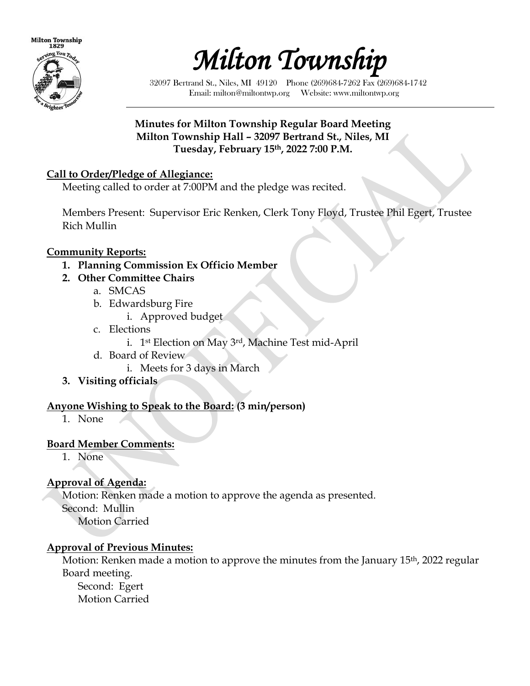



32097 Bertrand St., Niles, MI 49120 Phone (269)684-7262 Fax (269)684-1742 Email: milton@miltontwp.org Website: www.miltontwp.org

### **Minutes for Milton Township Regular Board Meeting Milton Township Hall – 32097 Bertrand St., Niles, MI Tuesday, February 15th, 2022 7:00 P.M.**

### **Call to Order/Pledge of Allegiance:**

Meeting called to order at 7:00PM and the pledge was recited.

Members Present: Supervisor Eric Renken, Clerk Tony Floyd, Trustee Phil Egert, Trustee Rich Mullin

### **Community Reports:**

- **1. Planning Commission Ex Officio Member**
- **2. Other Committee Chairs**
	- a. SMCAS
	- b. Edwardsburg Fire
		- i. Approved budget
	- c. Elections
		- i. 1st Election on May 3rd, Machine Test mid-April
	- d. Board of Review
		- i. Meets for 3 days in March
- **3. Visiting officials**

## **Anyone Wishing to Speak to the Board: (3 min/person)**

1. None

### **Board Member Comments:**

1. None

# **Approval of Agenda:**

Motion: Renken made a motion to approve the agenda as presented. Second: Mullin Motion Carried

## **Approval of Previous Minutes:**

Motion: Renken made a motion to approve the minutes from the January 15<sup>th</sup>, 2022 regular Board meeting. Second: Egert

Motion Carried